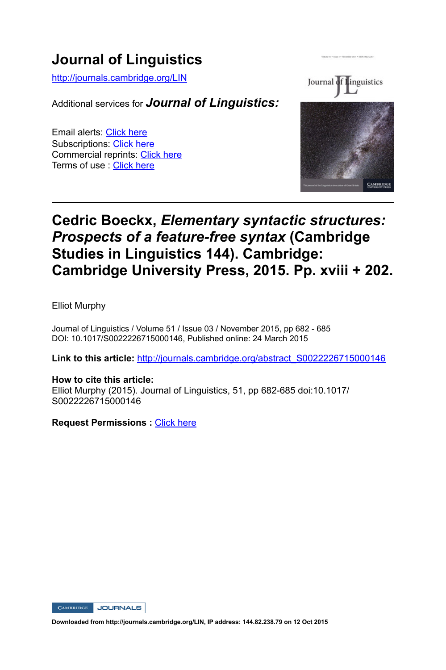# **Journal of Linguistics**

http://journals.cambridge.org/LIN

Additional services for *Journal of Linguistics:*

Email alerts: Click here Subscriptions: Click here Commercial reprints: Click here Terms of use : Click here



## **Cedric Boeckx,** *Elementary syntactic structures: Prospects of a feature-free syntax* **(Cambridge Studies in Linguistics 144). Cambridge: Cambridge University Press, 2015. Pp. xviii + 202.**

Elliot Murphy

Journal of Linguistics / Volume 51 / Issue 03 / November 2015, pp 682 - 685 DOI: 10.1017/S0022226715000146, Published online: 24 March 2015

Link to this article: http://journals.cambridge.org/abstract\_S0022226715000146

## **How to cite this article:** Elliot Murphy (2015). Journal of Linguistics, 51, pp 682-685 doi:10.1017/ S0022226715000146

**Request Permissions :** Click here

CAMBRIDGE JOURNALS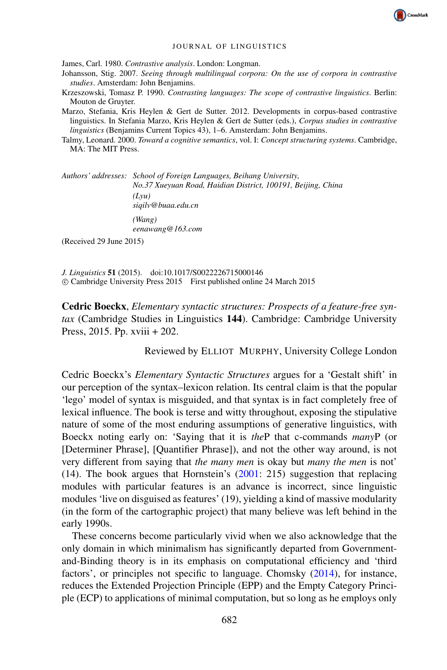

#### JOURNAL OF LINGUISTICS

James, Carl. 1980. *Contrastive analysis*. London: Longman.

- Johansson, Stig. 2007. *Seeing through multilingual corpora: On the use of corpora in contrastive studies*. Amsterdam: John Benjamins.
- Krzeszowski, Tomasz P. 1990. *Contrasting languages: The scope of contrastive linguistics*. Berlin: Mouton de Gruyter.
- Marzo, Stefania, Kris Heylen & Gert de Sutter. 2012. Developments in corpus-based contrastive linguistics. In Stefania Marzo, Kris Heylen & Gert de Sutter (eds.), *Corpus studies in contrastive linguistics* (Benjamins Current Topics 43), 1–6. Amsterdam: John Benjamins.
- Talmy, Leonard. 2000. *Toward a cognitive semantics*, vol. I: *Concept structuring systems*. Cambridge, MA: The MIT Press.

*Authors' addresses: School of Foreign Languages, Beihang University, No.37 Xueyuan Road, Haidian District, 100191, Beijing, China (Lyu) siqilv@buaa.edu.cn (Wang)*

*eenawang@163.com*

(Received 29 June 2015)

*J. Linguistics* 51 (2015). doi:10.1017/S0022226715000146 c Cambridge University Press 2015 First published online 24 March 2015

Cedric Boeckx, *Elementary syntactic structures: Prospects of a feature-free syntax* (Cambridge Studies in Linguistics 144). Cambridge: Cambridge University Press, 2015. Pp. xviii + 202.

Reviewed by ELLIOT MURPHY, University College London

Cedric Boeckx's *Elementary Syntactic Structures* argues for a 'Gestalt shift' in our perception of the syntax–lexicon relation. Its central claim is that the popular 'lego' model of syntax is misguided, and that syntax is in fact completely free of lexical influence. The book is terse and witty throughout, exposing the stipulative nature of some of the most enduring assumptions of generative linguistics, with Boeckx noting early on: 'Saying that it is *the*P that c-commands *many*P (or [Determiner Phrase], [Quantifier Phrase]), and not the other way around, is not very different from saying that *the many men* is okay but *many the men* is not' (14). The book argues that Hornstein's (2001: 215) suggestion that replacing modules with particular features is an advance is incorrect, since linguistic modules 'live on disguised as features' (19), yielding a kind of massive modularity (in the form of the cartographic project) that many believe was left behind in the early 1990s.

These concerns become particularly vivid when we also acknowledge that the only domain in which minimalism has significantly departed from Governmentand-Binding theory is in its emphasis on computational efficiency and 'third factors', or principles not specific to language. Chomsky (2014), for instance, reduces the Extended Projection Principle (EPP) and the Empty Category Principle (ECP) to applications of minimal computation, but so long as he employs only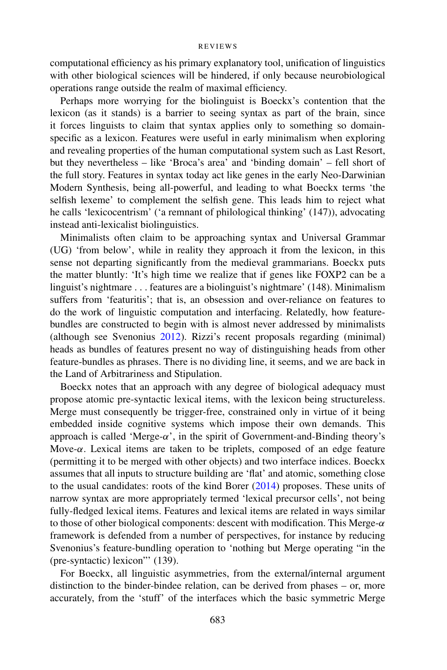#### **REVIEWS**

computational efficiency as his primary explanatory tool, unification of linguistics with other biological sciences will be hindered, if only because neurobiological operations range outside the realm of maximal efficiency.

Perhaps more worrying for the biolinguist is Boeckx's contention that the lexicon (as it stands) is a barrier to seeing syntax as part of the brain, since it forces linguists to claim that syntax applies only to something so domainspecific as a lexicon. Features were useful in early minimalism when exploring and revealing properties of the human computational system such as Last Resort, but they nevertheless – like 'Broca's area' and 'binding domain' – fell short of the full story. Features in syntax today act like genes in the early Neo-Darwinian Modern Synthesis, being all-powerful, and leading to what Boeckx terms 'the selfish lexeme' to complement the selfish gene. This leads him to reject what he calls 'lexicocentrism' ('a remnant of philological thinking' (147)), advocating instead anti-lexicalist biolinguistics.

Minimalists often claim to be approaching syntax and Universal Grammar (UG) 'from below', while in reality they approach it from the lexicon, in this sense not departing significantly from the medieval grammarians. Boeckx puts the matter bluntly: 'It's high time we realize that if genes like FOXP2 can be a linguist's nightmare . . . features are a biolinguist's nightmare' (148). Minimalism suffers from 'featuritis'; that is, an obsession and over-reliance on features to do the work of linguistic computation and interfacing. Relatedly, how featurebundles are constructed to begin with is almost never addressed by minimalists (although see Svenonius 2012). Rizzi's recent proposals regarding (minimal) heads as bundles of features present no way of distinguishing heads from other feature-bundles as phrases. There is no dividing line, it seems, and we are back in the Land of Arbitrariness and Stipulation.

Boeckx notes that an approach with any degree of biological adequacy must propose atomic pre-syntactic lexical items, with the lexicon being structureless. Merge must consequently be trigger-free, constrained only in virtue of it being embedded inside cognitive systems which impose their own demands. This approach is called 'Merge- $\alpha$ ', in the spirit of Government-and-Binding theory's Move-α. Lexical items are taken to be triplets, composed of an edge feature (permitting it to be merged with other objects) and two interface indices. Boeckx assumes that all inputs to structure building are 'flat' and atomic, something close to the usual candidates: roots of the kind Borer (2014) proposes. These units of narrow syntax are more appropriately termed 'lexical precursor cells', not being fully-fledged lexical items. Features and lexical items are related in ways similar to those of other biological components: descent with modification. This Merge- $\alpha$ framework is defended from a number of perspectives, for instance by reducing Svenonius's feature-bundling operation to 'nothing but Merge operating "in the (pre-syntactic) lexicon"' (139).

For Boeckx, all linguistic asymmetries, from the external/internal argument distinction to the binder-bindee relation, can be derived from phases – or, more accurately, from the 'stuff' of the interfaces which the basic symmetric Merge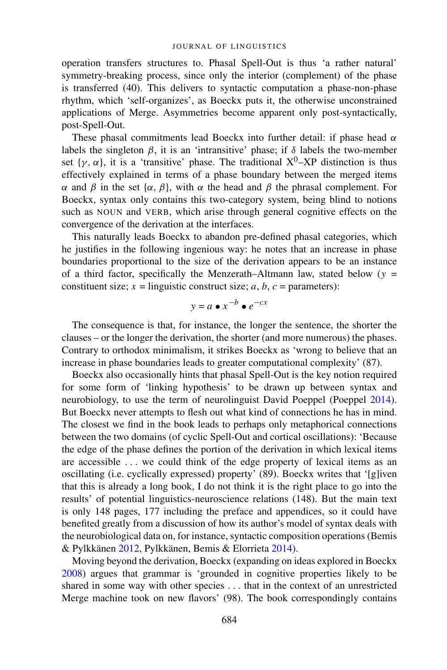operation transfers structures to. Phasal Spell-Out is thus 'a rather natural' symmetry-breaking process, since only the interior (complement) of the phase is transferred (40). This delivers to syntactic computation a phase-non-phase rhythm, which 'self-organizes', as Boeckx puts it, the otherwise unconstrained applications of Merge. Asymmetries become apparent only post-syntactically, post-Spell-Out.

These phasal commitments lead Boeckx into further detail: if phase head  $\alpha$ labels the singleton  $\beta$ , it is an 'intransitive' phase; if  $\delta$  labels the two-member set  $\{\gamma, \alpha\}$ , it is a 'transitive' phase. The traditional  $X^0$ –XP distinction is thus effectively explained in terms of a phase boundary between the merged items α and β in the set  $\{\alpha, \beta\}$ , with α the head and β the phrasal complement. For Boeckx, syntax only contains this two-category system, being blind to notions such as NOUN and VERB, which arise through general cognitive effects on the convergence of the derivation at the interfaces.

This naturally leads Boeckx to abandon pre-defined phasal categories, which he justifies in the following ingenious way: he notes that an increase in phase boundaries proportional to the size of the derivation appears to be an instance of a third factor, specifically the Menzerath–Altmann law, stated below ( $y =$ constituent size;  $x =$  linguistic construct size;  $a, b, c =$  parameters):

$$
y = a \bullet x^{-b} \bullet e^{-cx}
$$

The consequence is that, for instance, the longer the sentence, the shorter the clauses – or the longer the derivation, the shorter (and more numerous) the phases. Contrary to orthodox minimalism, it strikes Boeckx as 'wrong to believe that an increase in phase boundaries leads to greater computational complexity' (87).

Boeckx also occasionally hints that phasal Spell-Out is the key notion required for some form of 'linking hypothesis' to be drawn up between syntax and neurobiology, to use the term of neurolinguist David Poeppel (Poeppel 2014). But Boeckx never attempts to flesh out what kind of connections he has in mind. The closest we find in the book leads to perhaps only metaphorical connections between the two domains (of cyclic Spell-Out and cortical oscillations): 'Because the edge of the phase defines the portion of the derivation in which lexical items are accessible ... we could think of the edge property of lexical items as an oscillating (i.e. cyclically expressed) property' (89). Boeckx writes that '[g]iven that this is already a long book, I do not think it is the right place to go into the results' of potential linguistics-neuroscience relations (148). But the main text is only 148 pages, 177 including the preface and appendices, so it could have benefited greatly from a discussion of how its author's model of syntax deals with the neurobiological data on, for instance, syntactic composition operations (Bemis & Pylkkänen 2012, Pylkkänen, Bemis & Elorrieta 2014).

Moving beyond the derivation, Boeckx (expanding on ideas explored in Boeckx 2008) argues that grammar is 'grounded in cognitive properties likely to be shared in some way with other species . . . that in the context of an unrestricted Merge machine took on new flavors' (98). The book correspondingly contains